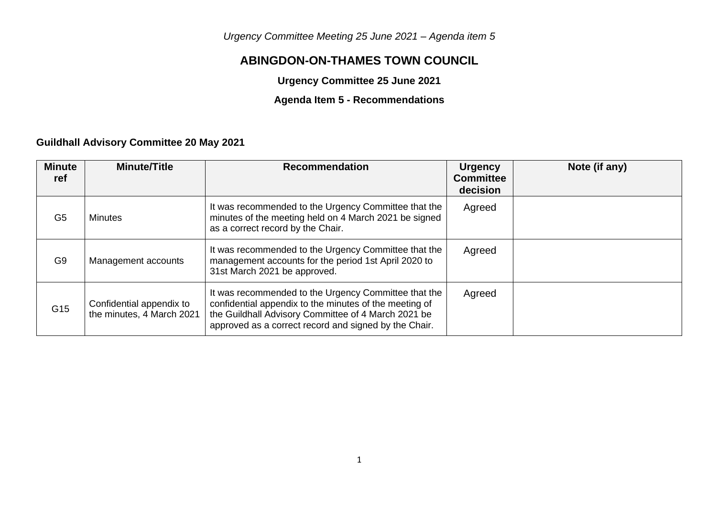*Urgency Committee Meeting 25 June 2021 – Agenda item 5*

# **ABINGDON-ON-THAMES TOWN COUNCIL**

**Urgency Committee 25 June 2021**

# **Agenda Item 5 - Recommendations**

## **Guildhall Advisory Committee 20 May 2021**

| <b>Minute</b><br>ref | <b>Minute/Title</b>                                   | <b>Recommendation</b>                                                                                                                                                                                                          | <b>Urgency</b><br><b>Committee</b><br>decision | Note (if any) |
|----------------------|-------------------------------------------------------|--------------------------------------------------------------------------------------------------------------------------------------------------------------------------------------------------------------------------------|------------------------------------------------|---------------|
| G <sub>5</sub>       | <b>Minutes</b>                                        | It was recommended to the Urgency Committee that the<br>minutes of the meeting held on 4 March 2021 be signed<br>as a correct record by the Chair.                                                                             | Agreed                                         |               |
| G <sub>9</sub>       | Management accounts                                   | It was recommended to the Urgency Committee that the<br>management accounts for the period 1st April 2020 to<br>31st March 2021 be approved.                                                                                   | Agreed                                         |               |
| G <sub>15</sub>      | Confidential appendix to<br>the minutes, 4 March 2021 | It was recommended to the Urgency Committee that the<br>confidential appendix to the minutes of the meeting of<br>the Guildhall Advisory Committee of 4 March 2021 be<br>approved as a correct record and signed by the Chair. | Agreed                                         |               |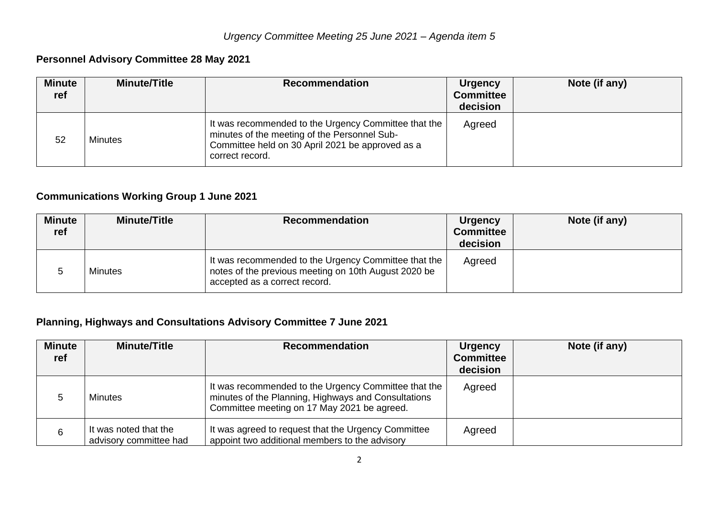## **Personnel Advisory Committee 28 May 2021**

| <b>Minute</b><br>ref | <b>Minute/Title</b> | Recommendation                                                                                                                                                              | <b>Urgency</b><br><b>Committee</b><br>decision | Note (if any) |
|----------------------|---------------------|-----------------------------------------------------------------------------------------------------------------------------------------------------------------------------|------------------------------------------------|---------------|
| 52                   | Minutes             | It was recommended to the Urgency Committee that the<br>minutes of the meeting of the Personnel Sub-<br>Committee held on 30 April 2021 be approved as a<br>correct record. | Agreed                                         |               |

# **Communications Working Group 1 June 2021**

| <b>Minute</b><br>ref | <b>Minute/Title</b> | <b>Recommendation</b>                                                                                                                         | <b>Urgency</b><br><b>Committee</b><br>decision | Note (if any) |
|----------------------|---------------------|-----------------------------------------------------------------------------------------------------------------------------------------------|------------------------------------------------|---------------|
|                      | <b>Minutes</b>      | It was recommended to the Urgency Committee that the<br>notes of the previous meeting on 10th August 2020 be<br>accepted as a correct record. | Agreed                                         |               |

## **Planning, Highways and Consultations Advisory Committee 7 June 2021**

| <b>Minute</b><br>ref | <b>Minute/Title</b>                             | <b>Recommendation</b>                                                                                                                                      | <b>Urgency</b><br><b>Committee</b><br>decision | Note (if any) |
|----------------------|-------------------------------------------------|------------------------------------------------------------------------------------------------------------------------------------------------------------|------------------------------------------------|---------------|
|                      | <b>Minutes</b>                                  | It was recommended to the Urgency Committee that the<br>minutes of the Planning, Highways and Consultations<br>Committee meeting on 17 May 2021 be agreed. | Agreed                                         |               |
| 6                    | It was noted that the<br>advisory committee had | It was agreed to request that the Urgency Committee<br>appoint two additional members to the advisory                                                      | Agreed                                         |               |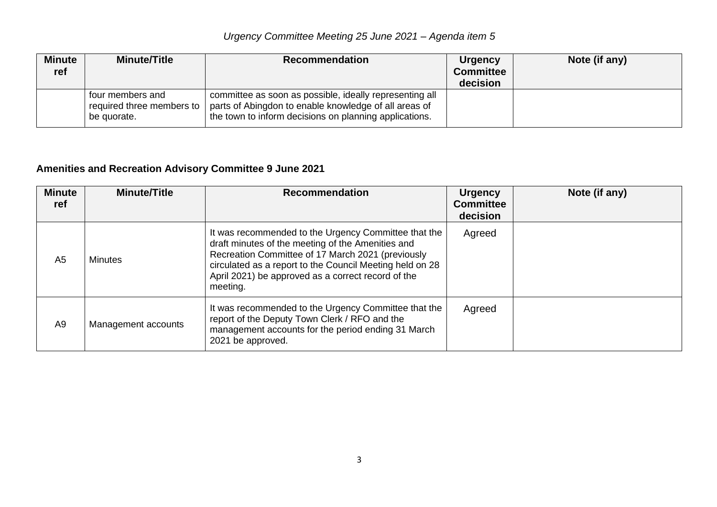| <b>Minute</b><br>ref | <b>Minute/Title</b>             | <b>Recommendation</b>                                                                                                                                                                                  | <b>Urgency</b><br><b>Committee</b><br>decision | Note (if any) |
|----------------------|---------------------------------|--------------------------------------------------------------------------------------------------------------------------------------------------------------------------------------------------------|------------------------------------------------|---------------|
|                      | four members and<br>be quorate. | committee as soon as possible, ideally representing all<br>required three members to   parts of Abingdon to enable knowledge of all areas of<br>the town to inform decisions on planning applications. |                                                |               |

# **Amenities and Recreation Advisory Committee 9 June 2021**

| <b>Minute</b><br>ref | <b>Minute/Title</b> | <b>Recommendation</b>                                                                                                                                                                                                                                                                        | <b>Urgency</b><br><b>Committee</b><br>decision | Note (if any) |
|----------------------|---------------------|----------------------------------------------------------------------------------------------------------------------------------------------------------------------------------------------------------------------------------------------------------------------------------------------|------------------------------------------------|---------------|
| A <sub>5</sub>       | <b>Minutes</b>      | It was recommended to the Urgency Committee that the<br>draft minutes of the meeting of the Amenities and<br>Recreation Committee of 17 March 2021 (previously<br>circulated as a report to the Council Meeting held on 28<br>April 2021) be approved as a correct record of the<br>meeting. | Agreed                                         |               |
| A <sub>9</sub>       | Management accounts | It was recommended to the Urgency Committee that the<br>report of the Deputy Town Clerk / RFO and the<br>management accounts for the period ending 31 March<br>2021 be approved.                                                                                                             | Agreed                                         |               |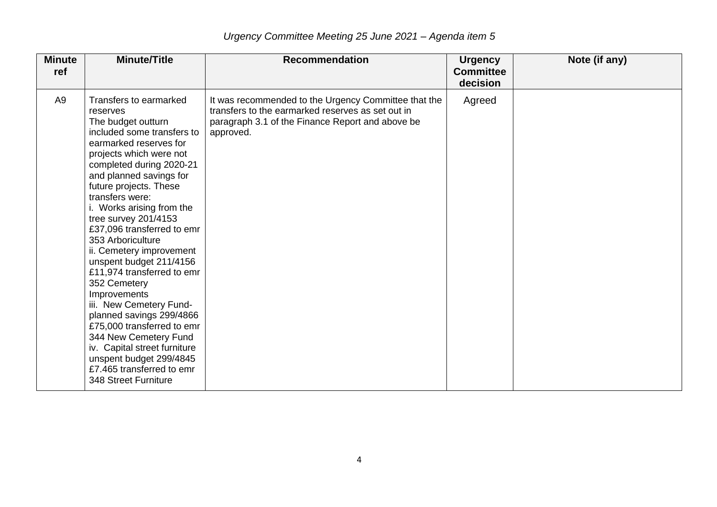| <b>Minute</b><br>ref | <b>Minute/Title</b>                                                                                                                                                                                                                                                                                                                                                                                                                                                                                                                                                                                                                                                                                     | <b>Recommendation</b>                                                                                                                                                      | <b>Urgency</b><br><b>Committee</b><br>decision | Note (if any) |
|----------------------|---------------------------------------------------------------------------------------------------------------------------------------------------------------------------------------------------------------------------------------------------------------------------------------------------------------------------------------------------------------------------------------------------------------------------------------------------------------------------------------------------------------------------------------------------------------------------------------------------------------------------------------------------------------------------------------------------------|----------------------------------------------------------------------------------------------------------------------------------------------------------------------------|------------------------------------------------|---------------|
| A <sub>9</sub>       | Transfers to earmarked<br>reserves<br>The budget outturn<br>included some transfers to<br>earmarked reserves for<br>projects which were not<br>completed during 2020-21<br>and planned savings for<br>future projects. These<br>transfers were:<br>Works arising from the<br>tree survey 201/4153<br>£37,096 transferred to emr<br>353 Arboriculture<br>ii. Cemetery improvement<br>unspent budget 211/4156<br>£11,974 transferred to emr<br>352 Cemetery<br>Improvements<br>iii. New Cemetery Fund-<br>planned savings 299/4866<br>£75,000 transferred to emr<br>344 New Cemetery Fund<br>iv. Capital street furniture<br>unspent budget 299/4845<br>£7.465 transferred to emr<br>348 Street Furniture | It was recommended to the Urgency Committee that the<br>transfers to the earmarked reserves as set out in<br>paragraph 3.1 of the Finance Report and above be<br>approved. | Agreed                                         |               |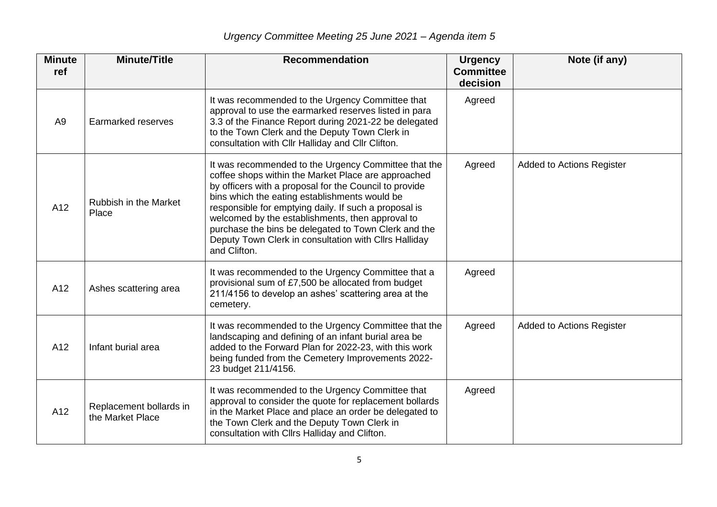| <b>Minute</b><br>ref | <b>Minute/Title</b>                         | <b>Recommendation</b>                                                                                                                                                                                                                                                                                                                                                                                                                                                | <b>Urgency</b><br><b>Committee</b><br>decision | Note (if any)             |
|----------------------|---------------------------------------------|----------------------------------------------------------------------------------------------------------------------------------------------------------------------------------------------------------------------------------------------------------------------------------------------------------------------------------------------------------------------------------------------------------------------------------------------------------------------|------------------------------------------------|---------------------------|
| A <sub>9</sub>       | Earmarked reserves                          | It was recommended to the Urgency Committee that<br>approval to use the earmarked reserves listed in para<br>3.3 of the Finance Report during 2021-22 be delegated<br>to the Town Clerk and the Deputy Town Clerk in<br>consultation with Cllr Halliday and Cllr Clifton.                                                                                                                                                                                            | Agreed                                         |                           |
| A12                  | <b>Rubbish in the Market</b><br>Place       | It was recommended to the Urgency Committee that the<br>coffee shops within the Market Place are approached<br>by officers with a proposal for the Council to provide<br>bins which the eating establishments would be<br>responsible for emptying daily. If such a proposal is<br>welcomed by the establishments, then approval to<br>purchase the bins be delegated to Town Clerk and the<br>Deputy Town Clerk in consultation with Cllrs Halliday<br>and Clifton. | Agreed                                         | Added to Actions Register |
| A12                  | Ashes scattering area                       | It was recommended to the Urgency Committee that a<br>provisional sum of £7,500 be allocated from budget<br>211/4156 to develop an ashes' scattering area at the<br>cemetery.                                                                                                                                                                                                                                                                                        | Agreed                                         |                           |
| A12                  | Infant burial area                          | It was recommended to the Urgency Committee that the<br>landscaping and defining of an infant burial area be<br>added to the Forward Plan for 2022-23, with this work<br>being funded from the Cemetery Improvements 2022-<br>23 budget 211/4156.                                                                                                                                                                                                                    | Agreed                                         | Added to Actions Register |
| A12                  | Replacement bollards in<br>the Market Place | It was recommended to the Urgency Committee that<br>approval to consider the quote for replacement bollards<br>in the Market Place and place an order be delegated to<br>the Town Clerk and the Deputy Town Clerk in<br>consultation with Cllrs Halliday and Clifton.                                                                                                                                                                                                | Agreed                                         |                           |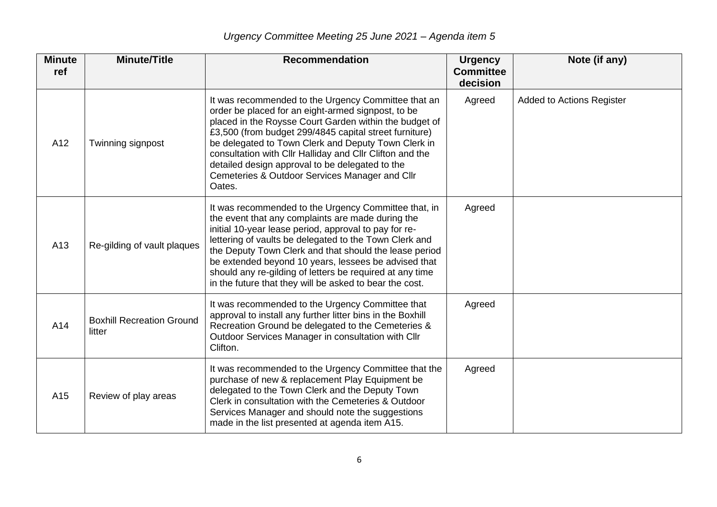| <b>Minute</b><br>ref | <b>Minute/Title</b>                        | <b>Recommendation</b>                                                                                                                                                                                                                                                                                                                                                                                                                                                 | <b>Urgency</b><br><b>Committee</b><br>decision | Note (if any)                    |
|----------------------|--------------------------------------------|-----------------------------------------------------------------------------------------------------------------------------------------------------------------------------------------------------------------------------------------------------------------------------------------------------------------------------------------------------------------------------------------------------------------------------------------------------------------------|------------------------------------------------|----------------------------------|
| A12                  | Twinning signpost                          | It was recommended to the Urgency Committee that an<br>order be placed for an eight-armed signpost, to be<br>placed in the Roysse Court Garden within the budget of<br>£3,500 (from budget 299/4845 capital street furniture)<br>be delegated to Town Clerk and Deputy Town Clerk in<br>consultation with Cllr Halliday and Cllr Clifton and the<br>detailed design approval to be delegated to the<br>Cemeteries & Outdoor Services Manager and Cllr<br>Oates.       | Agreed                                         | <b>Added to Actions Register</b> |
| A13                  | Re-gilding of vault plaques                | It was recommended to the Urgency Committee that, in<br>the event that any complaints are made during the<br>initial 10-year lease period, approval to pay for re-<br>lettering of vaults be delegated to the Town Clerk and<br>the Deputy Town Clerk and that should the lease period<br>be extended beyond 10 years, lessees be advised that<br>should any re-gilding of letters be required at any time<br>in the future that they will be asked to bear the cost. | Agreed                                         |                                  |
| A14                  | <b>Boxhill Recreation Ground</b><br>litter | It was recommended to the Urgency Committee that<br>approval to install any further litter bins in the Boxhill<br>Recreation Ground be delegated to the Cemeteries &<br>Outdoor Services Manager in consultation with Cllr<br>Clifton.                                                                                                                                                                                                                                | Agreed                                         |                                  |
| A15                  | Review of play areas                       | It was recommended to the Urgency Committee that the<br>purchase of new & replacement Play Equipment be<br>delegated to the Town Clerk and the Deputy Town<br>Clerk in consultation with the Cemeteries & Outdoor<br>Services Manager and should note the suggestions<br>made in the list presented at agenda item A15.                                                                                                                                               | Agreed                                         |                                  |